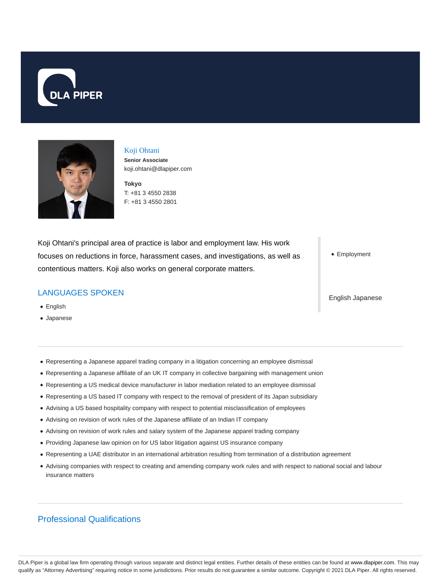



## Koji Ohtani

**Senior Associate** koji.ohtani@dlapiper.com

**Tokyo** T: +81 3 4550 2838 F: +81 3 4550 2801

Koji Ohtani's principal area of practice is labor and employment law. His work focuses on reductions in force, harassment cases, and investigations, as well as contentious matters. Koji also works on general corporate matters.

# LANGUAGES SPOKEN

- English
- Japanese

• Employment

English Japanese

- Representing a Japanese apparel trading company in a litigation concerning an employee dismissal
- Representing a Japanese affiliate of an UK IT company in collective bargaining with management union
- Representing a US medical device manufacturer in labor mediation related to an employee dismissal
- Representing a US based IT company with respect to the removal of president of its Japan subsidiary
- Advising a US based hospitality company with respect to potential misclassification of employees
- Advising on revision of work rules of the Japanese affiliate of an Indian IT company
- Advising on revision of work rules and salary system of the Japanese apparel trading company
- Providing Japanese law opinion on for US labor litigation against US insurance company
- Representing a UAE distributor in an international arbitration resulting from termination of a distribution agreement
- Advising companies with respect to creating and amending company work rules and with respect to national social and labour insurance matters

# Professional Qualifications

DLA Piper is a global law firm operating through various separate and distinct legal entities. Further details of these entities can be found at www.dlapiper.com. This may qualify as "Attorney Advertising" requiring notice in some jurisdictions. Prior results do not guarantee a similar outcome. Copyright © 2021 DLA Piper. All rights reserved.